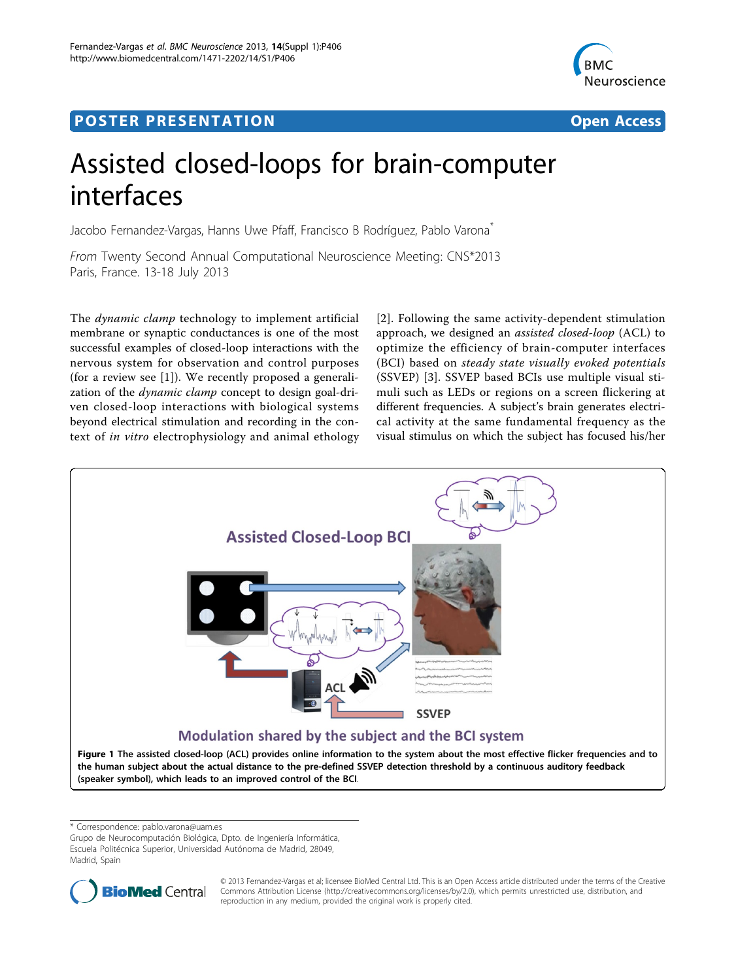## <span id="page-0-0"></span>Post Experimental Police in the St English Police in the St English Police in the St English Police in the St<br>Police in the St English Police in the St English Police in the St English Police in the St English Police in



# Assisted closed-loops for brain-computer interfaces

Jacobo Fernandez-Vargas, Hanns Uwe Pfaff, Francisco B Rodríguez, Pablo Varona<sup>\*</sup>

From Twenty Second Annual Computational Neuroscience Meeting: CNS\*2013 Paris, France. 13-18 July 2013

The dynamic clamp technology to implement artificial membrane or synaptic conductances is one of the most successful examples of closed-loop interactions with the nervous system for observation and control purposes (for a review see [[1\]](#page-1-0)). We recently proposed a generalization of the dynamic clamp concept to design goal-driven closed-loop interactions with biological systems beyond electrical stimulation and recording in the context of in vitro electrophysiology and animal ethology

[[2](#page-1-0)]. Following the same activity-dependent stimulation approach, we designed an assisted closed-loop (ACL) to optimize the efficiency of brain-computer interfaces (BCI) based on steady state visually evoked potentials (SSVEP) [\[3](#page-1-0)]. SSVEP based BCIs use multiple visual stimuli such as LEDs or regions on a screen flickering at different frequencies. A subject's brain generates electrical activity at the same fundamental frequency as the visual stimulus on which the subject has focused his/her



\* Correspondence: [pablo.varona@uam.es](mailto:pablo.varona@uam.es)

Grupo de Neurocomputación Biológica, Dpto. de Ingeniería Informática, Escuela Politécnica Superior, Universidad Autónoma de Madrid, 28049, Madrid, Spain



© 2013 Fernandez-Vargas et al; licensee BioMed Central Ltd. This is an Open Access article distributed under the terms of the Creative Commons Attribution License [\(http://creativecommons.org/licenses/by/2.0](http://creativecommons.org/licenses/by/2.0)), which permits unrestricted use, distribution, and reproduction in any medium, provided the original work is properly cited.